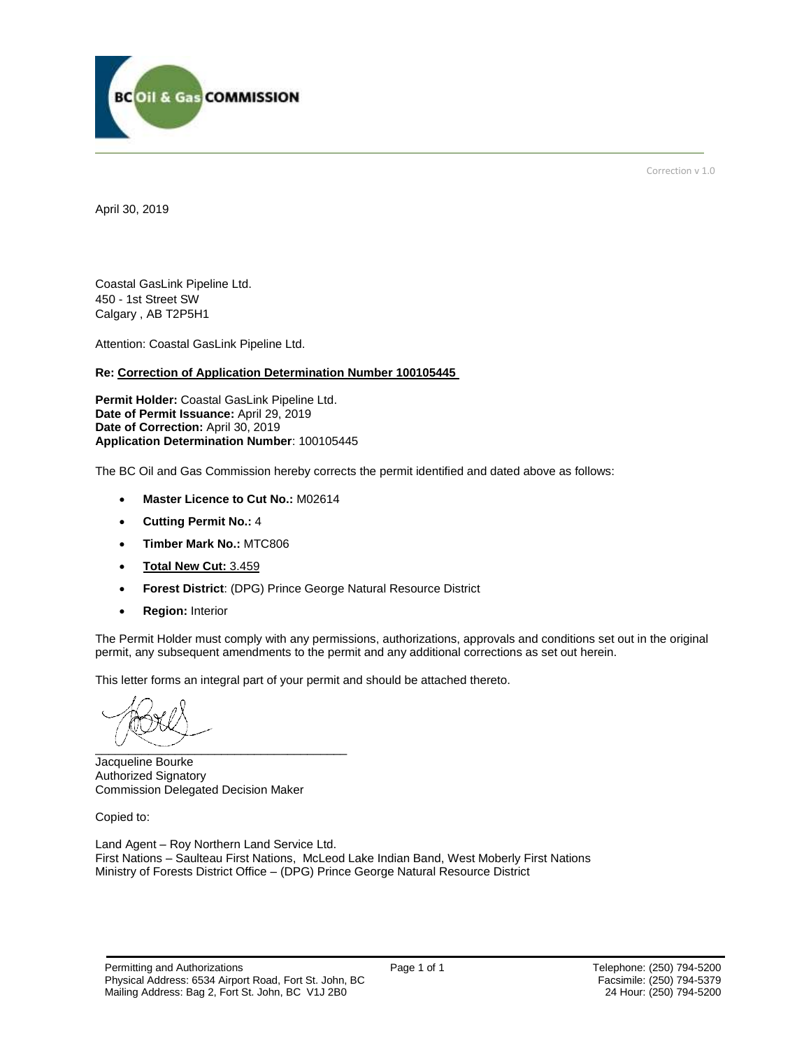

Correction v 1.0

April 30, 2019

Coastal GasLink Pipeline Ltd. 450 - 1st Street SW Calgary , AB T2P5H1

Attention: Coastal GasLink Pipeline Ltd.

#### **Re: Correction of Application Determination Number 100105445**

**Permit Holder:** Coastal GasLink Pipeline Ltd. **Date of Permit Issuance:** April 29, 2019 Date of Correction: April 30, 2019 **Application Determination Number**: 100105445

The BC Oil and Gas Commission hereby corrects the permit identified and dated above as follows:

- **Master Licence to Cut No.:** M02614
- **Cutting Permit No.:** 4
- **Timber Mark No.:** MTC806
- **Total New Cut:** 3.459
- **Forest District**: (DPG) Prince George Natural Resource District
- **Region:** Interior

The Permit Holder must comply with any permissions, authorizations, approvals and conditions set out in the original permit, any subsequent amendments to the permit and any additional corrections as set out herein.

This letter forms an integral part of your permit and should be attached thereto.

 $\overbrace{\phantom{xxxxx}}$ 

Jacqueline Bourke Authorized Signatory Commission Delegated Decision Maker

Copied to:

Land Agent – Roy Northern Land Service Ltd. First Nations – Saulteau First Nations, McLeod Lake Indian Band, West Moberly First Nations Ministry of Forests District Office – (DPG) Prince George Natural Resource District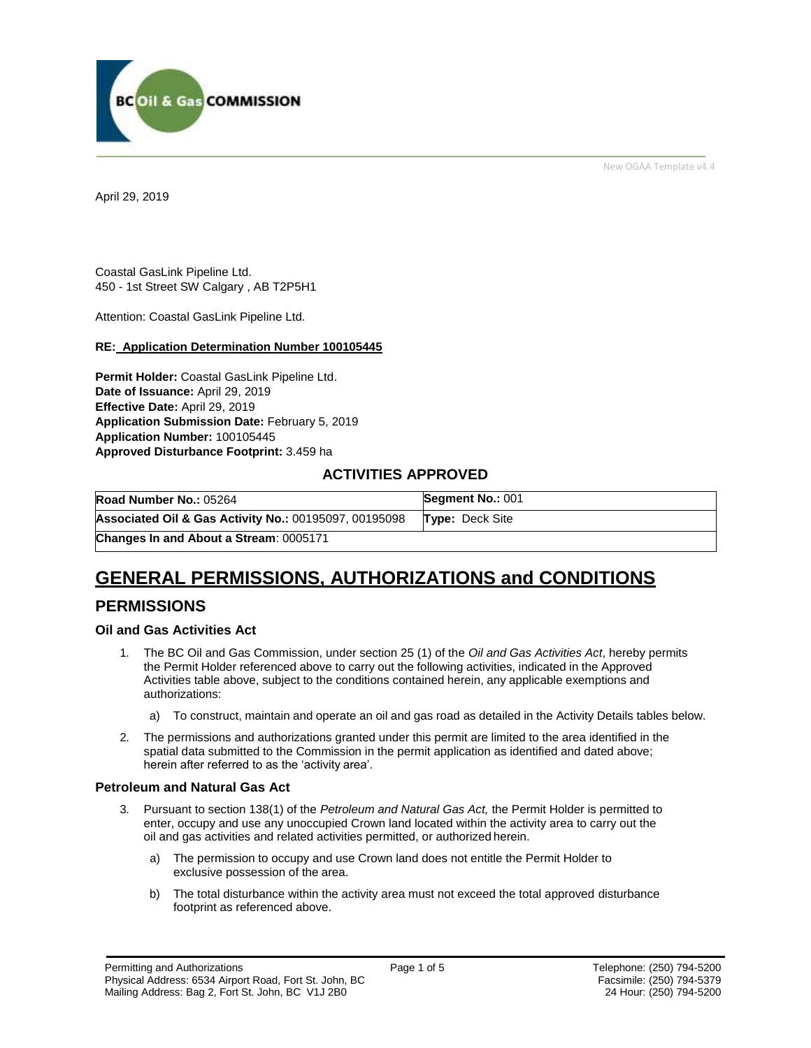

New OGAA Template v4.4

April 29, 2019

Coastal GasLink Pipeline Ltd. 450 - 1st Street SW Calgary , AB T2P5H1

Attention: Coastal GasLink Pipeline Ltd.

#### **RE: Application Determination Number 100105445**

**Permit Holder:** Coastal GasLink Pipeline Ltd. **Date of Issuance:** April 29, 2019 **Effective Date:** April 29, 2019 **Application Submission Date:** February 5, 2019 **Application Number:** 100105445 **Approved Disturbance Footprint:** 3.459 ha

### **ACTIVITIES APPROVED**

| Road Number No.: 05264                                           | Segment No.: 001       |
|------------------------------------------------------------------|------------------------|
| <b>Associated Oil &amp; Gas Activity No.: 00195097, 00195098</b> | <b>Type:</b> Deck Site |
| Changes In and About a Stream: 0005171                           |                        |

# **GENERAL PERMISSIONS, AUTHORIZATIONS and CONDITIONS**

## **PERMISSIONS**

#### **Oil and Gas Activities Act**

- <span id="page-1-0"></span>1. The BC Oil and Gas Commission, under section 25 (1) of the *Oil and Gas Activities Act*, hereby permits the Permit Holder referenced above to carry out the following activities, indicated in the Approved Activities table above, subject to the conditions contained herein, any applicable exemptions and authorizations:
	- a) To construct, maintain and operate an oil and gas road as detailed in the Activity Details tables below.
- 2. The permissions and authorizations granted under this permit are limited to the area identified in the spatial data submitted to the Commission in the permit application as identified and dated above; herein after referred to as the 'activity area'.

#### **Petroleum and Natural Gas Act**

- 3. Pursuant to section 138(1) of the *Petroleum and Natural Gas Act,* the Permit Holder is permitted to enter, occupy and use any unoccupied Crown land located within the activity area to carry out the oil and gas activities and related activities permitted, or authorized herein.
	- a) The permission to occupy and use Crown land does not entitle the Permit Holder to exclusive possession of the area.
	- b) The total disturbance within the activity area must not exceed the total approved disturbance footprint as referenced above.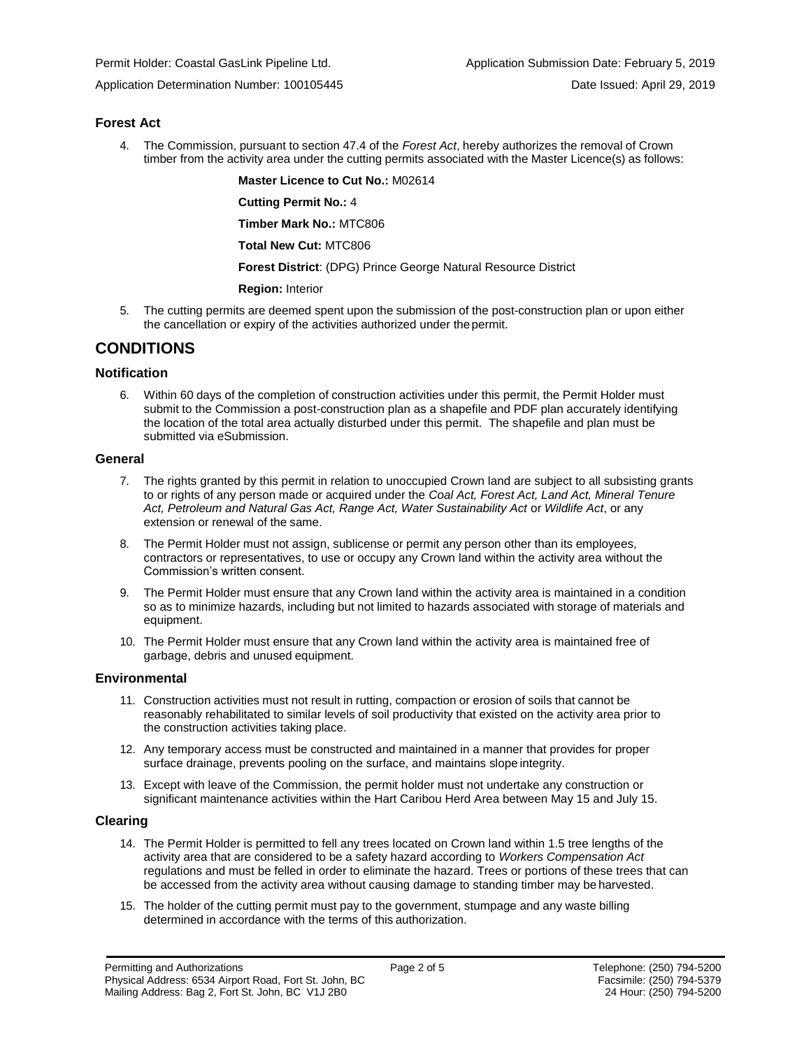Application Determination Number: 100105445 Date Issued: April 29, 2019

#### **Forest Act**

4. The Commission, pursuant to section 47.4 of the *Forest Act*, hereby authorizes the removal of Crown timber from the activity area under the cutting permits associated with the Master Licence(s) as follows:

**Master Licence to Cut No.:** M02614

**Cutting Permit No.:** 4

**Timber Mark No.:** MTC806

**Total New Cut:** MTC806

**[Forest District](https://ams-crd.bcogc.ca/crd/)**: (DPG) Prince George Natural Resource District

**Region:** Interior

5. The cutting permits are deemed spent upon the submission of the post-construction plan or upon either the cancellation or expiry of the activities authorized under the permit.

## **CONDITIONS**

#### **Notification**

6. Within 60 days of the completion of construction activities under this permit, the Permit Holder must submit to the Commission a post-construction plan as a shapefile and PDF plan accurately identifying the location of the total area actually disturbed under this permit. The shapefile and plan must be submitted via eSubmission.

#### **General**

- 7. The rights granted by this permit in relation to unoccupied Crown land are subject to all subsisting grants to or rights of any person made or acquired under the *Coal Act, Forest Act, Land Act, Mineral Tenure*  Act, Petroleum and Natural Gas Act, Range Act, Water Sustainability Act or Wildlife Act, or any extension or renewal of the same.
- 8. The Permit Holder must not assign, sublicense or permit any person other than its employees, contractors or representatives, to use or occupy any Crown land within the activity area without the Commission's written consent.
- 9. The Permit Holder must ensure that any Crown land within the activity area is maintained in a condition so as to minimize hazards, including but not limited to hazards associated with storage of materials and equipment.
- 10. The Permit Holder must ensure that any Crown land within the activity area is maintained free of garbage, debris and unused equipment.

#### **Environmental**

- 11. Construction activities must not result in rutting, compaction or erosion of soils that cannot be reasonably rehabilitated to similar levels of soil productivity that existed on the activity area prior to the construction activities taking place.
- 12. Any temporary access must be constructed and maintained in a manner that provides for proper surface drainage, prevents pooling on the surface, and maintains slope integrity.
- 13. Except with leave of the Commission, the permit holder must not undertake any construction or significant maintenance activities within the Hart Caribou Herd Area between May 15 and July 15.

#### **Clearing**

- 14. The Permit Holder is permitted to fell any trees located on Crown land within 1.5 tree lengths of the activity area that are considered to be a safety hazard according to *Workers Compensation Act*  regulations and must be felled in order to eliminate the hazard. Trees or portions of these trees that can be accessed from the activity area without causing damage to standing timber may be harvested.
- 15. The holder of the cutting permit must pay to the government, stumpage and any waste billing determined in accordance with the terms of this authorization.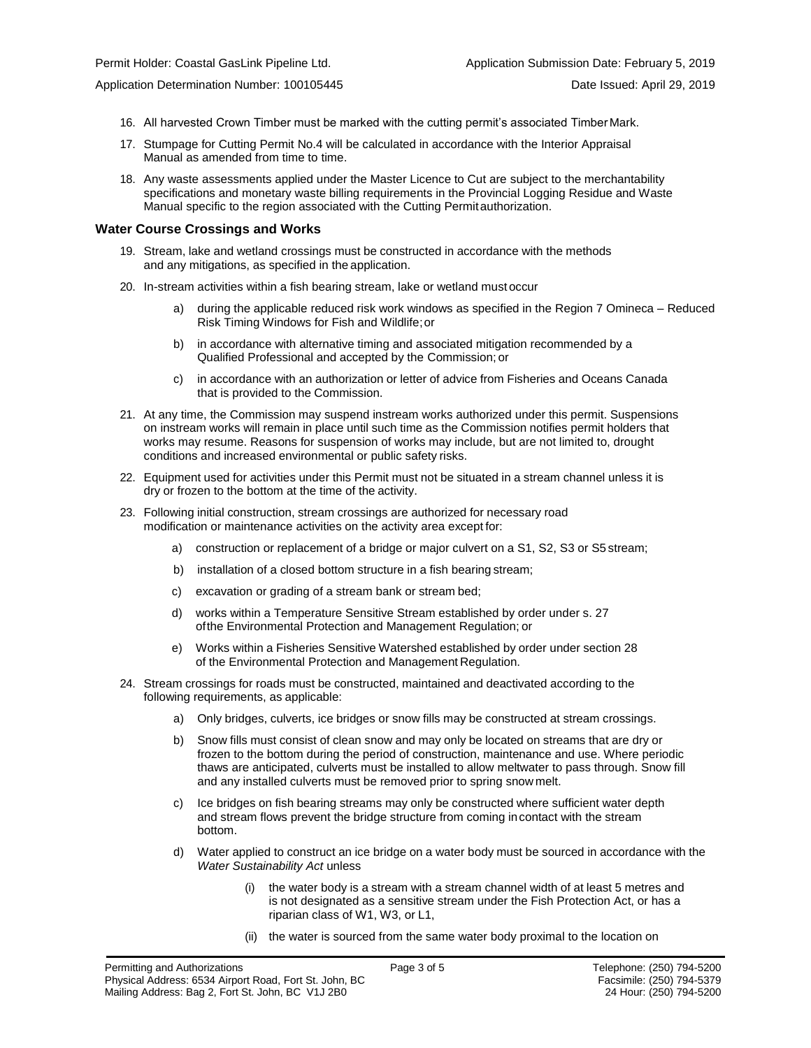- - 16. All harvested Crown Timber must be marked with the cutting permit's associated Timber Mark.
	- 17. Stumpage for Cutting Permit No.4 will be calculated in accordance with the Interior Appraisal Manual as amended from time to time.
	- 18. Any waste assessments applied under the Master Licence to Cut are subject to the merchantability specifications and monetary waste billing requirements in the Provincial Logging Residue and Waste Manual specific to the region associated with the Cutting Permitauthorization.

#### **Water Course Crossings and Works**

- 19. Stream, lake and wetland crossings must be constructed in accordance with the methods and any mitigations, as specified in the application.
- 20. In-stream activities within a fish bearing stream, lake or wetland must occur
	- a) during the applicable [reduced risk work windows as specified in the](#page-1-0) Region 7 Omineca Reduced Risk Timing Windows for Fish and Wildlife;or
	- b) in accordance with alternative timing and associated mitigation recommended by a Qualified Professional and accepted by the Commission; or
	- c) in accordance with an authorization or letter of advice from Fisheries and Oceans Canada that is provided to the Commission.
- 21. At any time, the Commission may suspend instream works authorized under this permit. Suspensions on instream works will remain in place until such time as the Commission notifies permit holders that works may resume. Reasons for suspension of works may include, but are not limited to, drought conditions and increased environmental or public safety risks.
- 22. Equipment used for activities under this Permit must not be situated in a stream channel unless it is dry or frozen to the bottom at the time of the activity.
- 23. Following initial construction, stream crossings are authorized for necessary road modification or maintenance activities on the activity area except for:
	- a) construction or replacement of a bridge or major culvert on a S1, S2, S3 or S5 stream;
	- b) installation of a closed bottom structure in a fish bearing stream;
	- c) excavation or grading of a stream bank or stream bed;
	- d) works within a Temperature Sensitive Stream established by order under s. 27 ofthe Environmental Protection and Management Regulation; or
	- e) Works within a Fisheries Sensitive Watershed established by order under section 28 of the Environmental Protection and Management Regulation.
- 24. Stream crossings for roads must be constructed, maintained and deactivated according to the following requirements, as applicable:
	- a) Only bridges, culverts, ice bridges or snow fills may be constructed at stream crossings.
	- b) Snow fills must consist of clean snow and may only be located on streams that are dry or frozen to the bottom during the period of construction, maintenance and use. Where periodic thaws are anticipated, culverts must be installed to allow meltwater to pass through. Snow fill and any installed culverts must be removed prior to spring snow melt.
	- c) Ice bridges on fish bearing streams may only be constructed where sufficient water depth and stream flows prevent the bridge structure from coming incontact with the stream bottom.
	- d) Water applied to construct an ice bridge on a water body must be sourced in accordance with the *Water Sustainability Act* unless
		- (i) the water body is a stream with a stream channel width of at least 5 metres and is not designated as a sensitive stream under the Fish Protection Act, or has a riparian class of W1, W3, or L1,
		- (ii) the water is sourced from the same water body proximal to the location on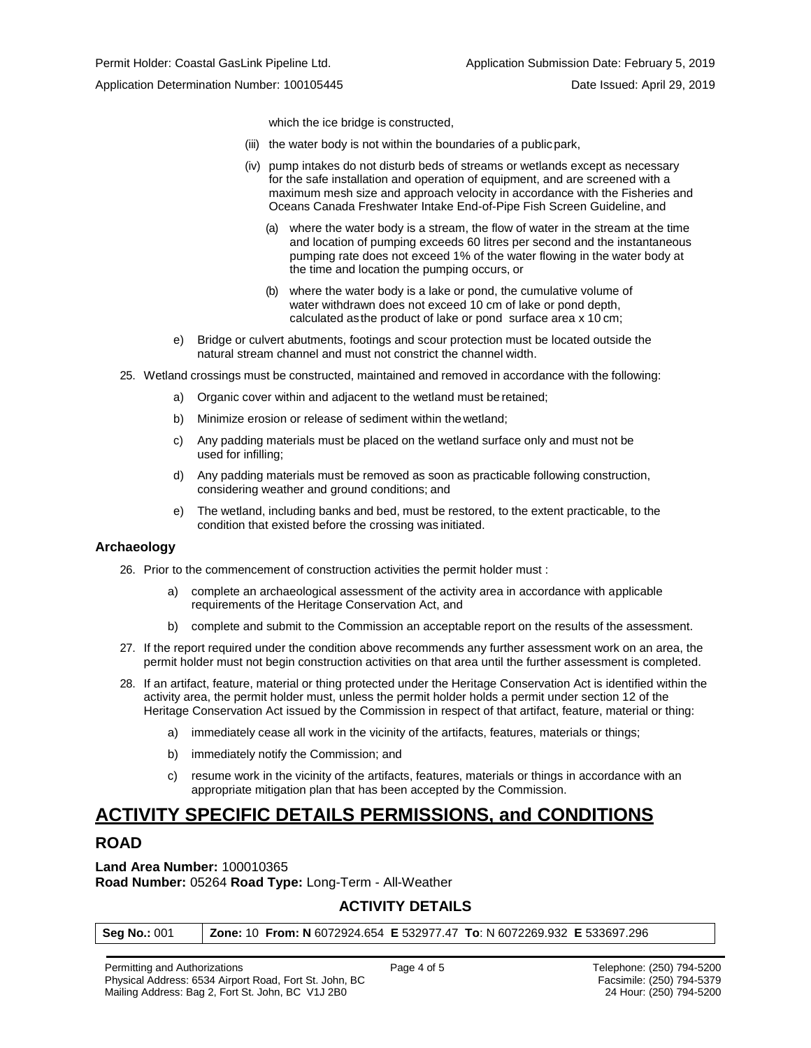Application Determination Number: 100105445 Date Issued: April 29, 2019

which the ice bridge is constructed,

- (iii) the water body is not within the boundaries of a publicpark,
- (iv) pump intakes do not disturb beds of streams or wetlands except as necessary for the safe installation and operation of equipment, and are screened with a maximum mesh size and approach velocity in accordance with the Fisheries and Oceans Canada Freshwater Intake End-of-Pipe Fish Screen Guideline, and
	- (a) where the water body is a stream, the flow of water in the stream at the time and location of pumping exceeds 60 litres per second and the instantaneous pumping rate does not exceed 1% of the water flowing in the water body at the time and location the pumping occurs, or
	- (b) where the water body is a lake or pond, the cumulative volume of water withdrawn does not exceed 10 cm of lake or pond depth, calculated asthe product of lake or pond surface area x 10 cm;
- e) Bridge or culvert abutments, footings and scour protection must be located outside the natural stream channel and must not constrict the channel width.
- 25. Wetland crossings must be constructed, maintained and removed in accordance with the following:
	- a) Organic cover within and adjacent to the wetland must be retained;
	- b) Minimize erosion or release of sediment within the wetland;
	- c) Any padding materials must be placed on the wetland surface only and must not be used for infilling;
	- d) Any padding materials must be removed as soon as practicable following construction, considering weather and ground conditions; and
	- e) The wetland, including banks and bed, must be restored, to the extent practicable, to the condition that existed before the crossing was initiated.

#### **Archaeology**

- 26. Prior to the commencement of construction activities the permit holder must :
	- a) complete an archaeological assessment of the activity area in accordance with applicable requirements of the Heritage Conservation Act, and
	- b) complete and submit to the Commission an acceptable report on the results of the assessment.
- 27. If the report required under the condition above recommends any further assessment work on an area, the permit holder must not begin construction activities on that area until the further assessment is completed.
- 28. If an artifact, feature, material or thing protected under the Heritage Conservation Act is identified within the activity area, the permit holder must, unless the permit holder holds a permit under section 12 of the Heritage Conservation Act issued by the Commission in respect of that artifact, feature, material or thing:
	- a) immediately cease all work in the vicinity of the artifacts, features, materials or things;
	- b) immediately notify the Commission; and
	- c) resume work in the vicinity of the artifacts, features, materials or things in accordance with an appropriate mitigation plan that has been accepted by the Commission.

# **ACTIVITY SPECIFIC DETAILS PERMISSIONS, and CONDITIONS**

## **ROAD**

**Land Area Number:** 100010365 **Road Number:** 05264 **Road Type:** Long-Term - All-Weather

## **ACTIVITY DETAILS**

| <b>Seg No.: 001</b> | <b>Zone: 10 From: N</b> 6072924.654 <b>E</b> 532977.47 <b>To</b> : N 6072269.932 <b>E</b> 533697.296 |  |  |
|---------------------|------------------------------------------------------------------------------------------------------|--|--|
|---------------------|------------------------------------------------------------------------------------------------------|--|--|